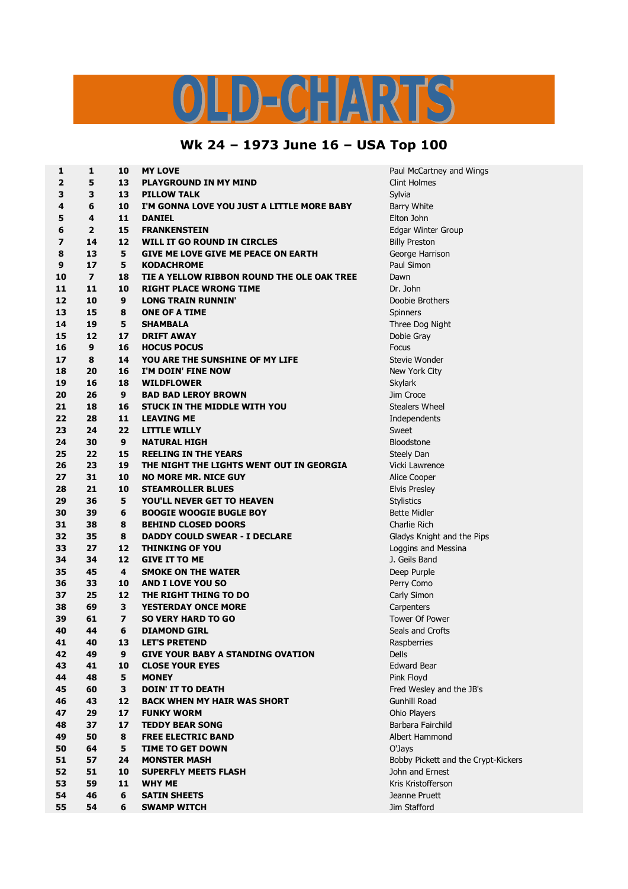## D-CHARTS

## **Wk 24 – 1973 June 16 – USA Top 100**

| 1                       | 1              | 10                      | <b>MY LOVE</b>                             | Paul McCartney and Wings            |
|-------------------------|----------------|-------------------------|--------------------------------------------|-------------------------------------|
| $\overline{\mathbf{2}}$ | 5              | 13                      | <b>PLAYGROUND IN MY MIND</b>               | <b>Clint Holmes</b>                 |
| 3                       | 3              | 13                      | <b>PILLOW TALK</b>                         | Sylvia                              |
| 4                       | 6              | 10                      | I'M GONNA LOVE YOU JUST A LITTLE MORE BABY | <b>Barry White</b>                  |
| 5                       | 4              | 11                      | <b>DANIEL</b>                              | Elton John                          |
| 6                       | $\overline{2}$ | 15                      | <b>FRANKENSTEIN</b>                        | Edgar Winter Group                  |
| $\overline{z}$          | 14             | 12                      | WILL IT GO ROUND IN CIRCLES                | <b>Billy Preston</b>                |
| 8                       | 13             | 5                       | GIVE ME LOVE GIVE ME PEACE ON EARTH        | George Harrison                     |
| 9                       | 17             | 5                       | <b>KODACHROME</b>                          | Paul Simon                          |
| 10                      | $\overline{7}$ | 18                      | TIE A YELLOW RIBBON ROUND THE OLE OAK TREE | Dawn                                |
| 11                      | 11             | 10                      | <b>RIGHT PLACE WRONG TIME</b>              | Dr. John                            |
| 12                      | 10             | 9                       | <b>LONG TRAIN RUNNIN'</b>                  | Doobie Brothers                     |
| 13                      | 15             | 8                       | <b>ONE OF A TIME</b>                       | Spinners                            |
| 14                      | 19             | 5                       | <b>SHAMBALA</b>                            | Three Dog Night                     |
| 15                      | 12             | 17                      | <b>DRIFT AWAY</b>                          | Dobie Gray                          |
| 16                      | 9              | 16                      | <b>HOCUS POCUS</b>                         | Focus                               |
| 17                      | 8              | 14                      |                                            |                                     |
|                         |                |                         | YOU ARE THE SUNSHINE OF MY LIFE            | Stevie Wonder                       |
| 18                      | 20             | 16                      | I'M DOIN' FINE NOW                         | New York City                       |
| 19                      | 16             | 18                      | <b>WILDFLOWER</b>                          | Skylark                             |
| 20                      | 26             | 9                       | <b>BAD BAD LEROY BROWN</b>                 | Jim Croce                           |
| 21                      | 18             | 16                      | <b>STUCK IN THE MIDDLE WITH YOU</b>        | <b>Stealers Wheel</b>               |
| 22                      | 28             | 11                      | <b>LEAVING ME</b>                          | Independents                        |
| 23                      | 24             | 22                      | <b>LITTLE WILLY</b>                        | Sweet                               |
| 24                      | 30             | 9                       | <b>NATURAL HIGH</b>                        | <b>Bloodstone</b>                   |
| 25                      | 22             | 15                      | <b>REELING IN THE YEARS</b>                | Steely Dan                          |
| 26                      | 23             | 19                      | THE NIGHT THE LIGHTS WENT OUT IN GEORGIA   | Vicki Lawrence                      |
| 27                      | 31             | 10                      | <b>NO MORE MR. NICE GUY</b>                | Alice Cooper                        |
| 28                      | 21             | 10                      | <b>STEAMROLLER BLUES</b>                   | <b>Elvis Presley</b>                |
| 29                      | 36             | 5                       | <b>YOU'LL NEVER GET TO HEAVEN</b>          | <b>Stylistics</b>                   |
| 30                      | 39             | 6                       | <b>BOOGIE WOOGIE BUGLE BOY</b>             | <b>Bette Midler</b>                 |
| 31                      | 38             | 8                       | <b>BEHIND CLOSED DOORS</b>                 | Charlie Rich                        |
| 32                      | 35             | 8                       | <b>DADDY COULD SWEAR - I DECLARE</b>       | Gladys Knight and the Pips          |
| 33                      | 27             | 12                      | <b>THINKING OF YOU</b>                     | Loggins and Messina                 |
| 34                      | 34             | 12                      | <b>GIVE IT TO ME</b>                       | J. Geils Band                       |
| 35                      | 45             | 4                       | <b>SMOKE ON THE WATER</b>                  | Deep Purple                         |
| 36                      | 33             | 10                      | <b>AND I LOVE YOU SO</b>                   | Perry Como                          |
| 37                      | 25             | 12                      | THE RIGHT THING TO DO                      | Carly Simon                         |
| 38                      | 69             | 3                       | <b>YESTERDAY ONCE MORE</b>                 | Carpenters                          |
| 39                      | 61             | $\overline{\mathbf{z}}$ | <b>SO VERY HARD TO GO</b>                  | <b>Tower Of Power</b>               |
| 40                      | 44             | 6                       | <b>DIAMOND GIRL</b>                        | Seals and Crofts                    |
| 41                      | 40             | 13                      | <b>LET'S PRETEND</b>                       | Raspberries                         |
| 42                      | 49             | 9                       | <b>GIVE YOUR BABY A STANDING OVATION</b>   | Dells                               |
| 43                      | 41             | 10                      | <b>CLOSE YOUR EYES</b>                     | <b>Edward Bear</b>                  |
| 44                      | 48             | 5                       | <b>MONEY</b>                               | Pink Floyd                          |
| 45                      | 60             | 3                       | <b>DOIN' IT TO DEATH</b>                   | Fred Wesley and the JB's            |
| 46                      | 43             | 12                      | <b>BACK WHEN MY HAIR WAS SHORT</b>         | <b>Gunhill Road</b>                 |
| 47                      | 29             | 17                      | <b>FUNKY WORM</b>                          | Ohio Players                        |
| 48                      | 37             | 17                      | <b>TEDDY BEAR SONG</b>                     | Barbara Fairchild                   |
| 49                      | 50             | 8                       | <b>FREE ELECTRIC BAND</b>                  | Albert Hammond                      |
| 50                      | 64             | 5                       | <b>TIME TO GET DOWN</b>                    | O'Jays                              |
| 51                      | 57             | 24                      | <b>MONSTER MASH</b>                        | Bobby Pickett and the Crypt-Kickers |
| 52                      | 51             | 10                      | <b>SUPERFLY MEETS FLASH</b>                | John and Ernest                     |
| 53                      | 59             | 11                      | <b>WHY ME</b>                              | Kris Kristofferson                  |
| 54                      | 46             | 6                       | <b>SATIN SHEETS</b>                        | Jeanne Pruett                       |
| 55                      | 54             | 6                       | <b>SWAMP WITCH</b>                         | Jim Stafford                        |
|                         |                |                         |                                            |                                     |